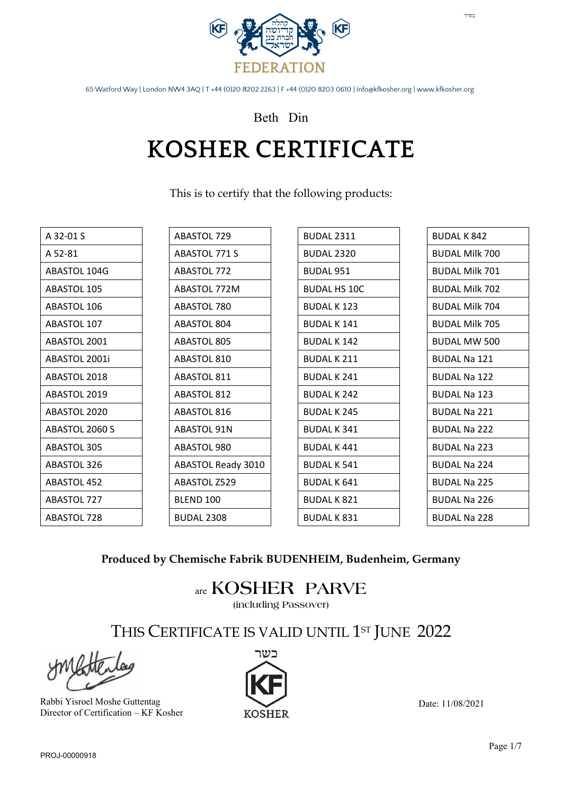

Beth Din

### **KOSHER CERTIFICATE**

This is to certify that the following products:

| A 32-01 S          | ABASTOL 729               | <b>BUDAL 2311</b>   | <b>BUDAL K 842</b>    |
|--------------------|---------------------------|---------------------|-----------------------|
| A 52-81            | <b>ABASTOL 771 S</b>      | <b>BUDAL 2320</b>   | <b>BUDAL Milk 700</b> |
| ABASTOL 104G       | <b>ABASTOL 772</b>        | <b>BUDAL 951</b>    | <b>BUDAL Milk 701</b> |
| <b>ABASTOL 105</b> | ABASTOL 772M              | <b>BUDAL HS 10C</b> | <b>BUDAL Milk 702</b> |
| ABASTOL 106        | ABASTOL 780               | <b>BUDAL K123</b>   | <b>BUDAL Milk 704</b> |
| ABASTOL 107        | <b>ABASTOL 804</b>        | <b>BUDAL K141</b>   | <b>BUDAL Milk 705</b> |
| ABASTOL 2001       | <b>ABASTOL 805</b>        | <b>BUDAL K142</b>   | <b>BUDAL MW 500</b>   |
| ABASTOL 2001i      | <b>ABASTOL 810</b>        | <b>BUDAL K211</b>   | <b>BUDAL Na 121</b>   |
| ABASTOL 2018       | <b>ABASTOL 811</b>        | <b>BUDAL K241</b>   | <b>BUDAL Na 122</b>   |
| ABASTOL 2019       | <b>ABASTOL 812</b>        | <b>BUDAL K242</b>   | <b>BUDAL Na 123</b>   |
| ABASTOL 2020       | <b>ABASTOL 816</b>        | <b>BUDAL K245</b>   | <b>BUDAL Na 221</b>   |
| ABASTOL 2060 S     | <b>ABASTOL 91N</b>        | <b>BUDAL K341</b>   | <b>BUDAL Na 222</b>   |
| ABASTOL 305        | ABASTOL 980               | <b>BUDAL K441</b>   | <b>BUDAL Na 223</b>   |
| ABASTOL 326        | <b>ABASTOL Ready 3010</b> | <b>BUDAL K 541</b>  | <b>BUDAL Na 224</b>   |
| ABASTOL 452        | ABASTOL Z529              | <b>BUDAL K 641</b>  | <b>BUDAL Na 225</b>   |
| ABASTOL 727        | BLEND 100                 | <b>BUDAL K 821</b>  | <b>BUDAL Na 226</b>   |
| ABASTOL 728        | <b>BUDAL 2308</b>         | <b>BUDAL K 831</b>  | <b>BUDAL Na 228</b>   |

### **Produced by Chemische Fabrik BUDENHEIM, Budenheim, Germany**

are **KOSHER PARVE (including Passover)**

THIS CERTIFICATE IS VALID UNTIL 1<sup>st</sup> JUNE 2022

Rabbi Yisroel Moshe Guttentag Director of Certification – KF Kosher



Date: 11/08/2021

 $\mathsf{T}''\mathsf{D}\mathsf{L}$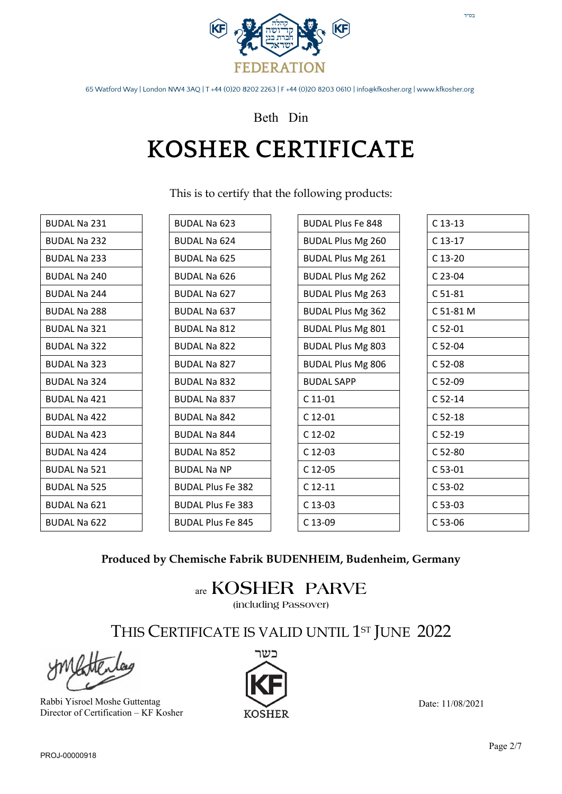

### Beth Din

# **KOSHER CERTIFICATE**

This is to certify that the following products:

| <b>BUDAL Na 231</b> | <b>BUDAL Na 623</b>      | <b>BUDAL Plus Fe 848</b> | $C$ 13-13 |
|---------------------|--------------------------|--------------------------|-----------|
| <b>BUDAL Na 232</b> | <b>BUDAL Na 624</b>      | <b>BUDAL Plus Mg 260</b> | $C$ 13-17 |
| <b>BUDAL Na 233</b> | <b>BUDAL Na 625</b>      | <b>BUDAL Plus Mg 261</b> | C 13-20   |
| <b>BUDAL Na 240</b> | <b>BUDAL Na 626</b>      | <b>BUDAL Plus Mg 262</b> | C 23-04   |
| <b>BUDAL Na 244</b> | <b>BUDAL Na 627</b>      | <b>BUDAL Plus Mg 263</b> | $C 51-81$ |
| <b>BUDAL Na 288</b> | <b>BUDAL Na 637</b>      | <b>BUDAL Plus Mg 362</b> | C 51-81 M |
| <b>BUDAL Na 321</b> | <b>BUDAL Na 812</b>      | <b>BUDAL Plus Mg 801</b> | $C$ 52-01 |
| <b>BUDAL Na 322</b> | <b>BUDAL Na 822</b>      | <b>BUDAL Plus Mg 803</b> | C 52-04   |
| <b>BUDAL Na 323</b> | <b>BUDAL Na 827</b>      | <b>BUDAL Plus Mg 806</b> | C 52-08   |
| <b>BUDAL Na 324</b> | <b>BUDAL Na 832</b>      | <b>BUDAL SAPP</b>        | C 52-09   |
| <b>BUDAL Na 421</b> | <b>BUDAL Na 837</b>      | $C$ 11-01                | $C$ 52-14 |
| <b>BUDAL Na 422</b> | <b>BUDAL Na 842</b>      | $C$ 12-01                | $C52-18$  |
| <b>BUDAL Na 423</b> | <b>BUDAL Na 844</b>      | C 12-02                  | $C52-19$  |
| <b>BUDAL Na 424</b> | <b>BUDAL Na 852</b>      | $C$ 12-03                | $C52-80$  |
| <b>BUDAL Na 521</b> | <b>BUDAL Na NP</b>       | C 12-05                  | C 53-01   |
| <b>BUDAL Na 525</b> | <b>BUDAL Plus Fe 382</b> | $C$ 12-11                | C 53-02   |
| <b>BUDAL Na 621</b> | <b>BUDAL Plus Fe 383</b> | $C$ 13-03                | C 53-03   |
| <b>BUDAL Na 622</b> | <b>BUDAL Plus Fe 845</b> | C 13-09                  | C 53-06   |

#### **Produced by Chemische Fabrik BUDENHEIM, Budenheim, Germany**

are **KOSHER PARVE**

**(including Passover)**

THIS CERTIFICATE IS VALID UNTIL 1<sup>st</sup> JUNE 2022

Rabbi Yisroel Moshe Guttentag Director of Certification – KF Kosher

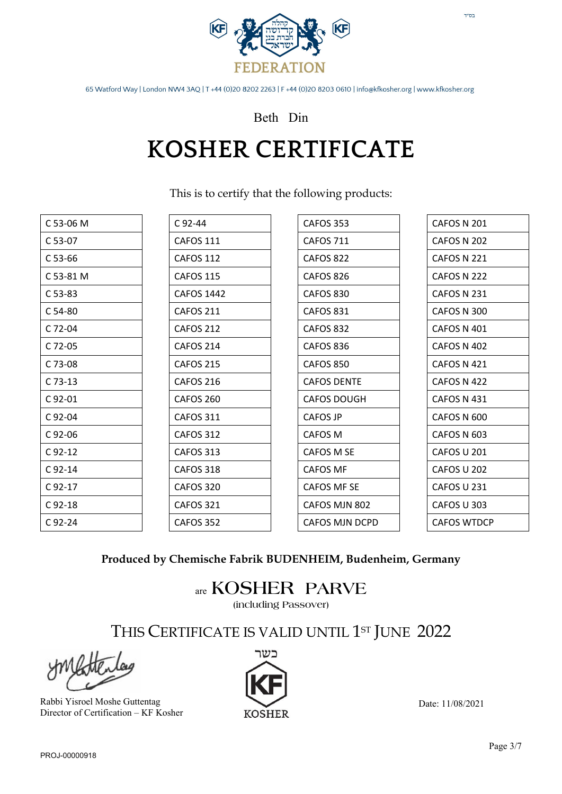

### Beth Din

### **KOSHER CERTIFICATE**

This is to certify that the following products:

| C 53-06 M   | $C_{92-44}$       | CAFOS 353          |
|-------------|-------------------|--------------------|
| C 53-07     | <b>CAFOS 111</b>  | <b>CAFOS 711</b>   |
| $C53-66$    | <b>CAFOS 112</b>  | CAFOS 822          |
| C 53-81 M   | <b>CAFOS 115</b>  | CAFOS 826          |
| $C$ 53-83   | <b>CAFOS 1442</b> | CAFOS 830          |
| $C54-80$    | <b>CAFOS 211</b>  | CAFOS 831          |
| C 72-04     | CAFOS 212         | CAFOS 832          |
| C 72-05     | CAFOS 214         | CAFOS 836          |
| C 73-08     | <b>CAFOS 215</b>  | <b>CAFOS 850</b>   |
| $C$ 73-13   | <b>CAFOS 216</b>  | <b>CAFOS DENTE</b> |
| $C_{92-01}$ | CAFOS 260         | <b>CAFOS DOUGH</b> |
| $C_{92-04}$ | <b>CAFOS 311</b>  | <b>CAFOS JP</b>    |
| C 92-06     | CAFOS 312         | CAFOS M            |
| $C_{92-12}$ | CAFOS 313         | CAFOS M SE         |
| $C_{92-14}$ | CAFOS 318         | <b>CAFOS MF</b>    |
| $C_{92-17}$ | CAFOS 320         | <b>CAFOS MF SE</b> |
| $C$ 92-18   | <b>CAFOS 321</b>  | CAFOS MJN 802      |
| $C_{92-24}$ | CAFOS 352         | CAFOS MJN DCPD     |

| CAFOS N 201        |
|--------------------|
| <b>CAFOS N 202</b> |
| CAFOS N 221        |
| CAFOS N 222        |
| CAFOS N 231        |
| CAFOS N 300        |
| CAFOS N 401        |
| CAFOS N 402        |
| CAFOS N 421        |
| CAFOS N 422        |
| CAFOS N 431        |
| CAFOS N 600        |
| CAFOS N 603        |
| CAFOS U 201        |
| CAFOS U 202        |
| CAFOS U 231        |
| CAFOS U 303        |
| CAFOS WTDCP        |
|                    |

בס"ד

### **Produced by Chemische Fabrik BUDENHEIM, Budenheim, Germany**

are **KOSHER PARVE (including Passover)**

THIS CERTIFICATE IS VALID UNTIL 1<sup>st</sup> JUNE 2022

Rabbi Yisroel Moshe Guttentag Director of Certification – KF Kosher

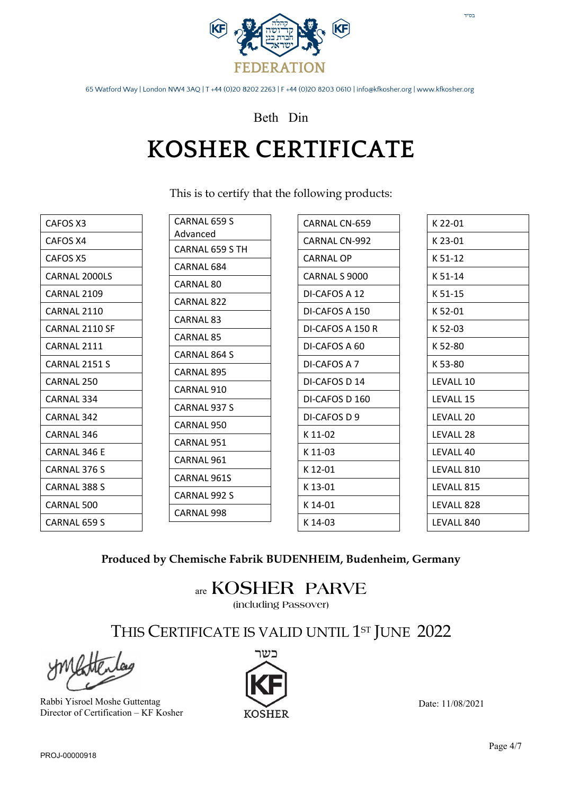

### Beth Din

## **KOSHER CERTIFICATE**

This is to certify that the following products:

| CAFOS X3       |
|----------------|
| CAFOS X4       |
| CAFOS X5       |
| CARNAL 2000LS  |
| CARNAL 2109    |
| CARNAL 2110    |
| CARNAL 2110 SF |
| CARNAL 2111    |
| CARNAL 2151 S  |
| CARNAL 250     |
| CARNAL 334     |
| CARNAI 342     |
| CARNAL 346     |
| CARNAL 346 F   |
| CARNAL 376 S   |
| CARNAL 388 S   |
| CARNAL 500     |
| CARNAL 659 S   |
|                |

| CARNAL 659 S    |
|-----------------|
| Advanced        |
| CARNAL 659 S TH |
| CARNAL 684      |
| CARNAL 80       |
| CARNAL 822      |
| CARNAL 83       |
| CARNAL 85       |
| CARNAL 864 S    |
| CARNAL 895      |
| CARNAL 910      |
| CARNAL 937 S    |
| CARNAL 950      |
| CARNAL 951      |
| CARNAL 961      |
| CARNAL 961S     |
| CARNAL 992 S    |
| CARNAL 998      |
|                 |

| CARNAL CN-659    |
|------------------|
| CARNAL CN-992    |
| CARNAL OP        |
| CARNAL S 9000    |
| DI-CAFOS A 12    |
| DI-CAFOS A 150   |
| DI-CAFOS A 150 R |
| DI-CAFOS A 60    |
| DI-CAFOS A 7     |
| DI-CAFOS D 14    |
| DI-CAFOS D 160   |
| DI-CAFOS D 9     |
| K 11-02          |
| K 11-03          |
| K 12-01          |
| K 13-01          |
| K 14-01          |
| K 14-03          |
|                  |

| K 22-01    |
|------------|
| K 23-01    |
| K 51-12    |
| K 51-14    |
| K 51-15    |
| K 52-01    |
| K 52-03    |
| K 52-80    |
| K 53-80    |
| LEVALL 10  |
| LEVALL 15  |
| LEVALL 20  |
| LEVALL 28  |
| LEVALL 40  |
| LEVALL 810 |
| LEVALL 815 |
| LEVALL 828 |
| LEVALL 840 |

#### **Produced by Chemische Fabrik BUDENHEIM, Budenheim, Germany**

are **KOSHER PARVE**

**(including Passover)**

THIS CERTIFICATE IS VALID UNTIL 1<sup>st</sup> JUNE 2022

Rabbi Yisroel Moshe Guttentag Director of Certification – KF Kosher



Date: 11/08/2021

 $\mathsf{T}''\mathsf{D}\mathsf{L}$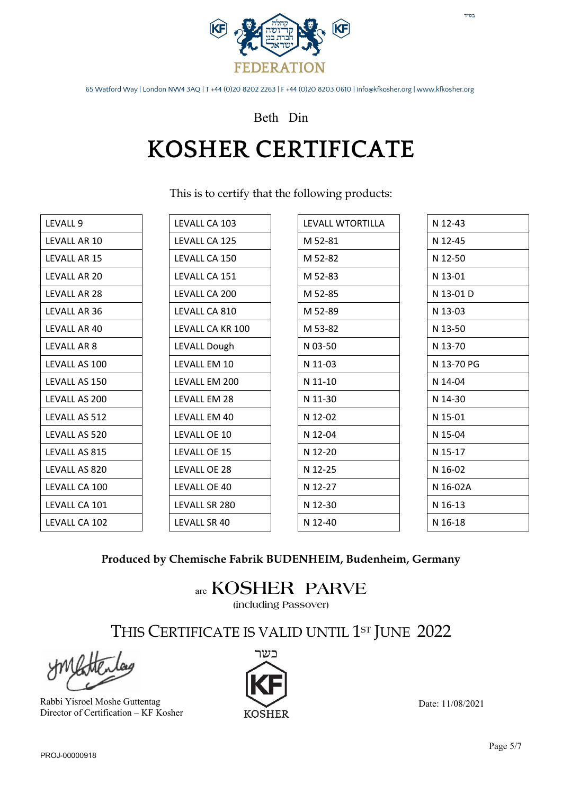

### Beth Din

### **KOSHER CERTIFICATE**

This is to certify that the following products:

| LEVALL 9      | LEVALL CA 103    | LEVALL WTORTILLA | N 12-43    |
|---------------|------------------|------------------|------------|
| LEVALL AR 10  | LEVALL CA 125    | M 52-81          | N 12-45    |
| LEVALL AR 15  | LEVALL CA 150    | M 52-82          | N 12-50    |
| LEVALL AR 20  | LEVALL CA 151    | M 52-83          | N 13-01    |
| LEVALL AR 28  | LEVALL CA 200    | M 52-85          | N 13-01 D  |
| LEVALL AR 36  | LEVALL CA 810    | M 52-89          | N 13-03    |
| LEVALL AR 40  | LEVALL CA KR 100 | M 53-82          | N 13-50    |
| LEVALL AR 8   | LEVALL Dough     | N 03-50          | N 13-70    |
| LEVALL AS 100 | LEVALL EM 10     | N 11-03          | N 13-70 PG |
| LEVALL AS 150 | LEVALL EM 200    | N 11-10          | N 14-04    |
| LEVALL AS 200 | LEVALL EM 28     | N 11-30          | N 14-30    |
| LEVALL AS 512 | LEVALL EM 40     | N 12-02          | N 15-01    |
| LEVALL AS 520 | LEVALL OE 10     | N 12-04          | N 15-04    |
| LEVALL AS 815 | LEVALL OE 15     | N 12-20          | N 15-17    |
| LEVALL AS 820 | LEVALL OE 28     | N 12-25          | N 16-02    |
| LEVALL CA 100 | LEVALL OE 40     | N 12-27          | N 16-02A   |
| LEVALL CA 101 | LEVALL SR 280    | N 12-30          | N 16-13    |
| LEVALL CA 102 | LEVALL SR 40     | N 12-40          | N 16-18    |

### **Produced by Chemische Fabrik BUDENHEIM, Budenheim, Germany**

are **KOSHER PARVE**

**(including Passover)**

THIS CERTIFICATE IS VALID UNTIL 1<sup>st</sup> JUNE 2022

Rabbi Yisroel Moshe Guttentag Director of Certification – KF Kosher

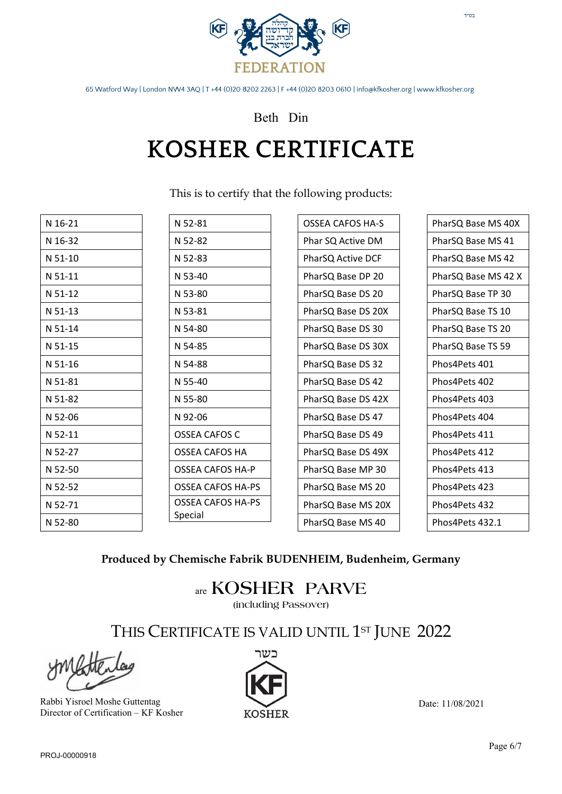

Beth Din

# **KOSHER CERTIFICATE**

This is to certify that the following products:

| N 52-81                  | <b>OSSEA CAFOS HA-S</b> | PharSQ Base MS 40X  |
|--------------------------|-------------------------|---------------------|
| N 52-82                  | Phar SQ Active DM       | PharSQ Base MS 41   |
| N 52-83                  | PharSQ Active DCF       | PharSQ Base MS 42   |
| N 53-40                  | PharSQ Base DP 20       | PharSQ Base MS 42 X |
| N 53-80                  | PharSQ Base DS 20       | PharSQ Base TP 30   |
| N 53-81                  | PharSQ Base DS 20X      | PharSQ Base TS 10   |
| N 54-80                  | PharSQ Base DS 30       | PharSQ Base TS 20   |
| N 54-85                  | PharSQ Base DS 30X      | PharSQ Base TS 59   |
| N 54-88                  | PharSQ Base DS 32       | Phos4Pets 401       |
| N 55-40                  | PharSQ Base DS 42       | Phos4Pets 402       |
| N 55-80                  | PharSQ Base DS 42X      | Phos4Pets 403       |
| N 92-06                  | PharSQ Base DS 47       | Phos4Pets 404       |
| <b>OSSEA CAFOS C</b>     | PharSQ Base DS 49       | Phos4Pets 411       |
| OSSEA CAFOS HA           | PharSQ Base DS 49X      | Phos4Pets 412       |
| <b>OSSEA CAFOS HA-P</b>  | PharSQ Base MP 30       | Phos4Pets 413       |
| <b>OSSEA CAFOS HA-PS</b> | PharSQ Base MS 20       | Phos4Pets 423       |
| OSSEA CAFOS HA-PS        | PharSQ Base MS 20X      | Phos4Pets 432       |
| Special                  | PharSQ Base MS 40       | Phos4Pets 432.1     |
|                          |                         |                     |

#### **Produced by Chemische Fabrik BUDENHEIM, Budenheim, Germany**

are **KOSHER PARVE**

**(including Passover)**

THIS CERTIFICATE IS VALID UNTIL 1<sup>st</sup> JUNE 2022

Rabbi Yisroel Moshe Guttentag Director of Certification – KF Kosher



Date: 11/08/2021

בס"ד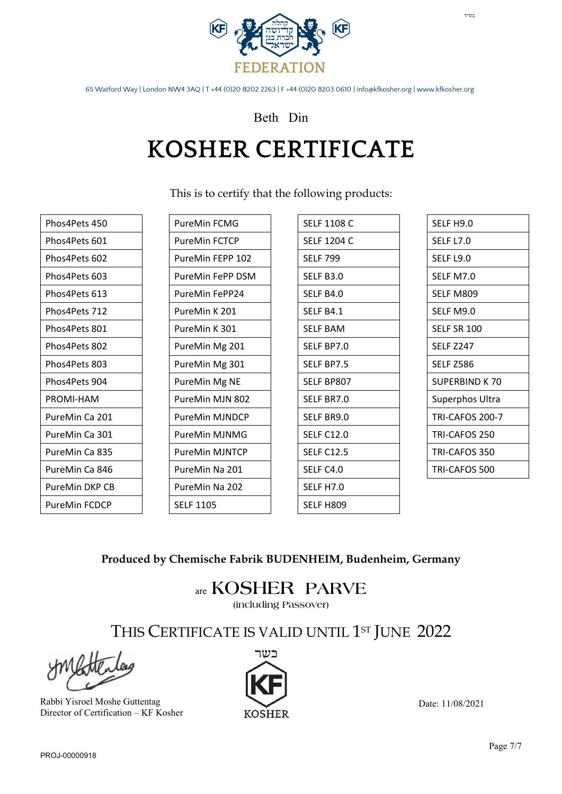

### Beth Din

# **KOSHER CERTIFICATE**

This is to certify that the following products:

| Phos4Pets 450  |
|----------------|
| Phos4Pets 601  |
| Phos4Pets 602  |
| Phos4Pets 603  |
| Phos4Pets 613  |
| Phos4Pets 712  |
| Phos4Pets 801  |
| Phos4Pets 802  |
| Phos4Pets 803  |
| Phos4Pets 904  |
| PROMI-HAM      |
| PureMin Ca 201 |
| PureMin Ca 301 |
| PureMin Ca 835 |
| PureMin Ca 846 |
| PureMin DKP CB |
| PureMin FCDCP  |

| PureMin FCMG     |
|------------------|
| PureMin FCTCP    |
| PureMin FEPP 102 |
| PureMin FePP DSM |
| PureMin FePP24   |
| PureMin K 201    |
| PureMin K 301    |
| PureMin Mg 201   |
| PureMin Mg 301   |
| PureMin Mg NE    |
| PureMin MJN 802  |
| PureMin MJNDCP   |
| PureMin MJNMG    |
| PureMin MJNTCP   |
| PureMin Na 201   |
| PureMin Na 202   |
| SELF 1105        |

| SELF 1108 C       |
|-------------------|
| SELF 1204 C       |
| <b>SELF 799</b>   |
| SELF B3.0         |
| SELF B4.0         |
| SELF B4.1         |
| <b>SELF BAM</b>   |
| SELF BP7.0        |
| <b>SELF BP7.5</b> |
| SELF BP807        |
| SELF BR7.0        |
| SELF BR9.0        |
| <b>SELF C12.0</b> |
| SELF C12.5        |
| SELF C4.0         |
| SELF H7.0         |
| SELF H809         |
|                   |

| SELF H9.0        |
|------------------|
| SELF L7.0        |
| SELF L9.0        |
| SELF M7.0        |
| SELF M809        |
| SELF M9.0        |
| SELF SR 100      |
| <b>SELF 7247</b> |
| <b>SELF Z586</b> |
| SUPERBIND K 70   |
| Superphos Ultra  |
| TRI-CAFOS 200-7  |
| TRI-CAFOS 250    |
| TRI-CAFOS 350    |
| TRI-CAFOS 500    |

בס"ד

**Produced by Chemische Fabrik BUDENHEIM, Budenheim, Germany** 

### are **KOSHER PARVE**

**(including Passover)**

THIS CERTIFICATE IS VALID UNTIL 1<sup>st</sup> JUNE 2022

Rabbi Yisroel Moshe Guttentag Director of Certification – KF Kosher